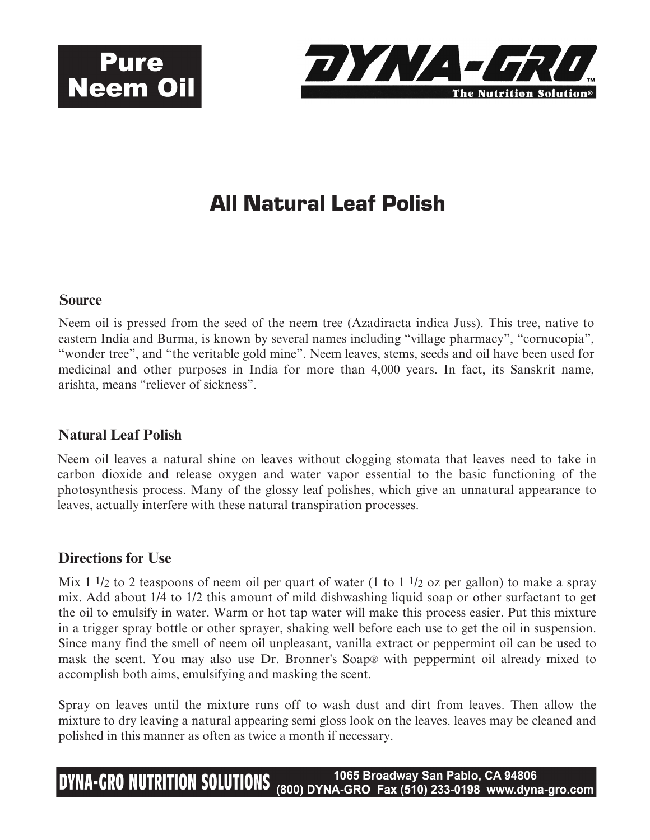



## All Natural Leaf Polish

#### **Source**

Neem oil is pressed from the seed of the neem tree (Azadiracta indica Juss). This tree, native to eastern India and Burma, is known by several names including "village pharmacy", "cornucopia", "wonder tree", and "the veritable gold mine". Neem leaves, stems, seeds and oil have been used for medicinal and other purposes in India for more than 4,000 years. In fact, its Sanskrit name, arishta, means "reliever of sickness".

### **Natural Leaf Polish**

Neem oil leaves a natural shine on leaves without clogging stomata that leaves need to take in carbon dioxide and release oxygen and water vapor essential to the basic functioning of the photosynthesis process. Many of the glossy leaf polishes, which give an unnatural appearance to leaves, actually interfere with these natural transpiration processes.

#### **Directions for Use**

Mix 1  $\frac{1}{2}$  to 2 teaspoons of neem oil per quart of water (1 to 1  $\frac{1}{2}$  oz per gallon) to make a spray mix. Add about 1/4 to 1/2 this amount of mild dishwashing liquid soap or other surfactant to get the oil to emulsify in water. Warm or hot tap water will make this process easier. Put this mixture in a trigger spray bottle or other sprayer, shaking well before each use to get the oil in suspension. Since many find the smell of neem oil unpleasant, vanilla extract or peppermint oil can be used to mask the scent. You may also use Dr. Bronner's Soap® with peppermint oil already mixed to accomplish both aims, emulsifying and masking the scent.

Spray on leaves until the mixture runs off to wash dust and dirt from leaves. Then allow the mixture to dry leaving a natural appearing semi gloss look on the leaves. leaves may be cleaned and polished in this manner as often as twice a month if necessary.

1065 Broadway San Pablo, CA 94806 **DYNA-GRO NUTRITION SOLUTIONS** (800) DYNA-GRO Fax (510) 233-0198 www.dyna-gro.com